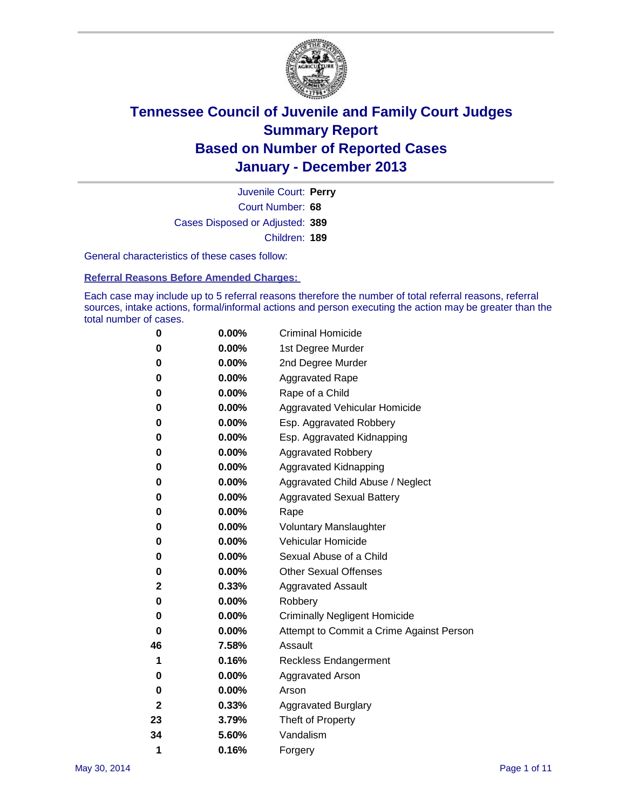

Court Number: **68** Juvenile Court: **Perry** Cases Disposed or Adjusted: **389** Children: **189**

General characteristics of these cases follow:

**Referral Reasons Before Amended Charges:** 

Each case may include up to 5 referral reasons therefore the number of total referral reasons, referral sources, intake actions, formal/informal actions and person executing the action may be greater than the total number of cases.

| 0  | 0.00%    | <b>Criminal Homicide</b>                 |
|----|----------|------------------------------------------|
| 0  | 0.00%    | 1st Degree Murder                        |
| 0  | 0.00%    | 2nd Degree Murder                        |
| 0  | $0.00\%$ | <b>Aggravated Rape</b>                   |
| 0  | 0.00%    | Rape of a Child                          |
| 0  | 0.00%    | <b>Aggravated Vehicular Homicide</b>     |
| 0  | 0.00%    | Esp. Aggravated Robbery                  |
| 0  | 0.00%    | Esp. Aggravated Kidnapping               |
| 0  | 0.00%    | <b>Aggravated Robbery</b>                |
| 0  | 0.00%    | Aggravated Kidnapping                    |
| 0  | 0.00%    | Aggravated Child Abuse / Neglect         |
| 0  | 0.00%    | <b>Aggravated Sexual Battery</b>         |
| 0  | 0.00%    | Rape                                     |
| 0  | 0.00%    | <b>Voluntary Manslaughter</b>            |
| 0  | 0.00%    | Vehicular Homicide                       |
| 0  | $0.00\%$ | Sexual Abuse of a Child                  |
| 0  | 0.00%    | <b>Other Sexual Offenses</b>             |
| 2  | 0.33%    | <b>Aggravated Assault</b>                |
| 0  | 0.00%    | Robbery                                  |
| 0  | 0.00%    | <b>Criminally Negligent Homicide</b>     |
| 0  | 0.00%    | Attempt to Commit a Crime Against Person |
| 46 | 7.58%    | Assault                                  |
| 1  | 0.16%    | <b>Reckless Endangerment</b>             |
| 0  | 0.00%    | <b>Aggravated Arson</b>                  |
| 0  | 0.00%    | Arson                                    |
| 2  | 0.33%    | <b>Aggravated Burglary</b>               |
| 23 | 3.79%    | Theft of Property                        |
| 34 | 5.60%    | Vandalism                                |
| 1  | 0.16%    | Forgery                                  |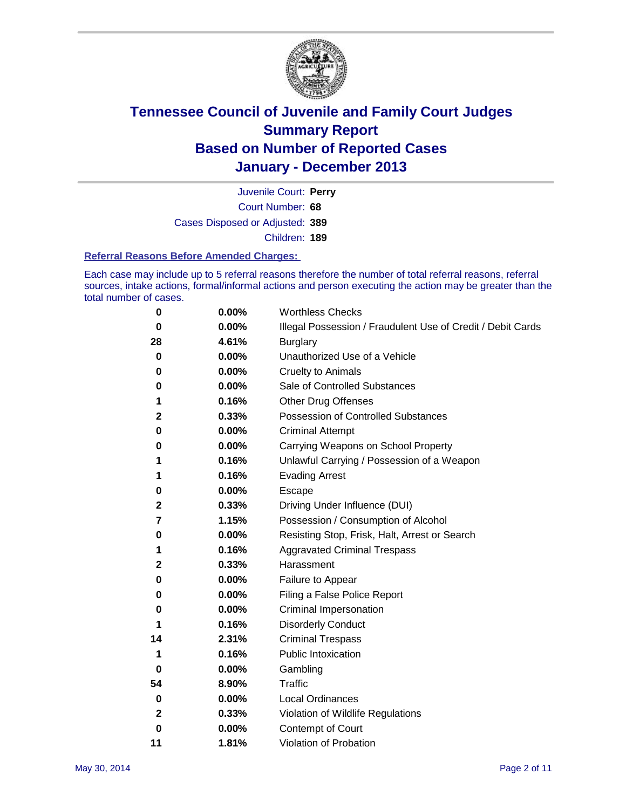

Court Number: **68** Juvenile Court: **Perry** Cases Disposed or Adjusted: **389** Children: **189**

#### **Referral Reasons Before Amended Charges:**

Each case may include up to 5 referral reasons therefore the number of total referral reasons, referral sources, intake actions, formal/informal actions and person executing the action may be greater than the total number of cases.

| 0           | 0.00% | <b>Worthless Checks</b>                                     |
|-------------|-------|-------------------------------------------------------------|
| $\bf{0}$    | 0.00% | Illegal Possession / Fraudulent Use of Credit / Debit Cards |
| 28          | 4.61% | <b>Burglary</b>                                             |
| 0           | 0.00% | Unauthorized Use of a Vehicle                               |
| 0           | 0.00% | <b>Cruelty to Animals</b>                                   |
| 0           | 0.00% | Sale of Controlled Substances                               |
| 1           | 0.16% | Other Drug Offenses                                         |
| 2           | 0.33% | Possession of Controlled Substances                         |
| 0           | 0.00% | <b>Criminal Attempt</b>                                     |
| 0           | 0.00% | Carrying Weapons on School Property                         |
| 1           | 0.16% | Unlawful Carrying / Possession of a Weapon                  |
| 1           | 0.16% | <b>Evading Arrest</b>                                       |
| 0           | 0.00% | Escape                                                      |
| 2           | 0.33% | Driving Under Influence (DUI)                               |
| 7           | 1.15% | Possession / Consumption of Alcohol                         |
| 0           | 0.00% | Resisting Stop, Frisk, Halt, Arrest or Search               |
| 1           | 0.16% | <b>Aggravated Criminal Trespass</b>                         |
| 2           | 0.33% | Harassment                                                  |
| 0           | 0.00% | Failure to Appear                                           |
| 0           | 0.00% | Filing a False Police Report                                |
| 0           | 0.00% | Criminal Impersonation                                      |
| 1           | 0.16% | <b>Disorderly Conduct</b>                                   |
| 14          | 2.31% | <b>Criminal Trespass</b>                                    |
| 1           | 0.16% | <b>Public Intoxication</b>                                  |
| 0           | 0.00% | Gambling                                                    |
| 54          | 8.90% | Traffic                                                     |
| 0           | 0.00% | <b>Local Ordinances</b>                                     |
| $\mathbf 2$ | 0.33% | Violation of Wildlife Regulations                           |
| $\bf{0}$    | 0.00% | Contempt of Court                                           |
| 11          | 1.81% | Violation of Probation                                      |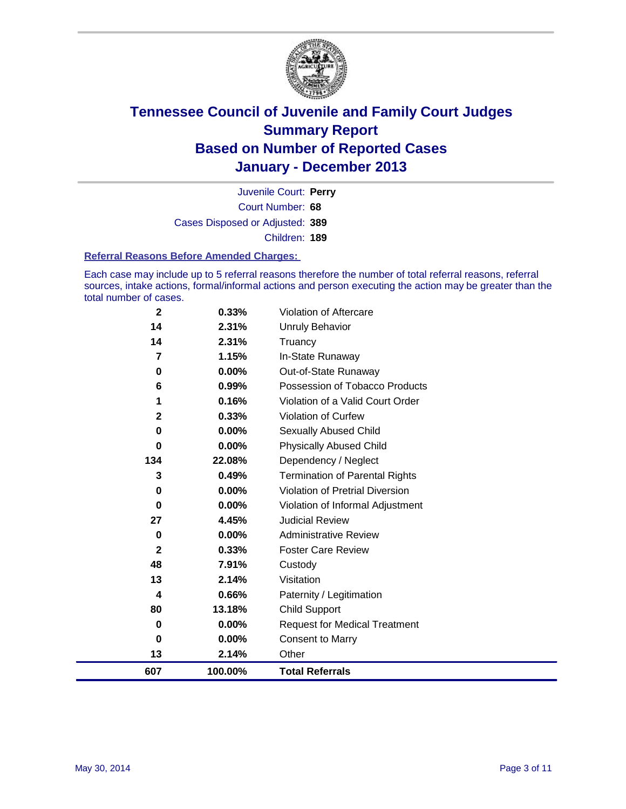

Court Number: **68** Juvenile Court: **Perry** Cases Disposed or Adjusted: **389** Children: **189**

#### **Referral Reasons Before Amended Charges:**

Each case may include up to 5 referral reasons therefore the number of total referral reasons, referral sources, intake actions, formal/informal actions and person executing the action may be greater than the total number of cases.

| 13<br>607      | 2.14%<br>100.00% | Other<br><b>Total Referrals</b>       |
|----------------|------------------|---------------------------------------|
| 0              | 0.00%            | <b>Consent to Marry</b>               |
| $\bf{0}$       | 0.00%            | <b>Request for Medical Treatment</b>  |
| 80             | 13.18%           | <b>Child Support</b>                  |
| 4              | 0.66%            | Paternity / Legitimation              |
| 13             | 2.14%            | Visitation                            |
| 48             | 7.91%            | Custody                               |
| $\mathbf{2}$   | 0.33%            | <b>Foster Care Review</b>             |
| 0              | 0.00%            | <b>Administrative Review</b>          |
| 27             | 4.45%            | <b>Judicial Review</b>                |
| $\bf{0}$       | 0.00%            | Violation of Informal Adjustment      |
| 0              | 0.00%            | Violation of Pretrial Diversion       |
| 3              | 0.49%            | <b>Termination of Parental Rights</b> |
| 134            | 22.08%           | Dependency / Neglect                  |
| 0              | 0.00%            | <b>Physically Abused Child</b>        |
| 0              | 0.00%            | <b>Sexually Abused Child</b>          |
| $\mathbf{2}$   | 0.33%            | <b>Violation of Curfew</b>            |
| 1              | 0.16%            | Violation of a Valid Court Order      |
| 6              | 0.99%            | Possession of Tobacco Products        |
| 0              | 0.00%            | Out-of-State Runaway                  |
| $\overline{7}$ | 1.15%            | In-State Runaway                      |
| 14             | 2.31%            | Truancy                               |
| 14             | 2.31%            | Unruly Behavior                       |
| $\mathbf{2}$   | 0.33%            | Violation of Aftercare                |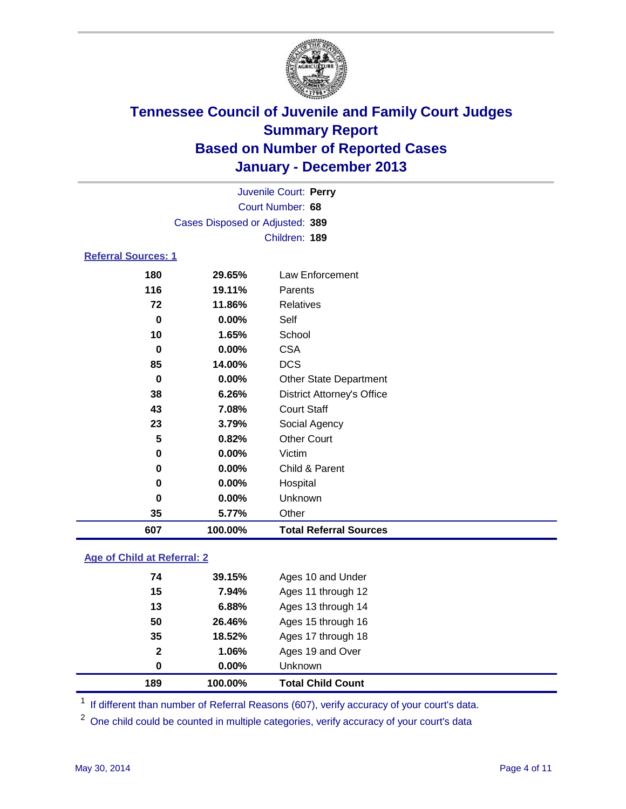

| Juvenile Court: Perry           |          |                                   |  |  |
|---------------------------------|----------|-----------------------------------|--|--|
| Court Number: 68                |          |                                   |  |  |
| Cases Disposed or Adjusted: 389 |          |                                   |  |  |
|                                 |          | Children: 189                     |  |  |
| <b>Referral Sources: 1</b>      |          |                                   |  |  |
| 180                             | 29.65%   | <b>Law Enforcement</b>            |  |  |
| 116                             | 19.11%   | Parents                           |  |  |
| 72                              | 11.86%   | <b>Relatives</b>                  |  |  |
| 0                               | $0.00\%$ | Self                              |  |  |
| 10                              | 1.65%    | School                            |  |  |
| 0                               | $0.00\%$ | <b>CSA</b>                        |  |  |
| 85                              | 14.00%   | <b>DCS</b>                        |  |  |
| $\bf{0}$                        | 0.00%    | Other State Department            |  |  |
| 38                              | 6.26%    | <b>District Attorney's Office</b> |  |  |
| 43                              | 7.08%    | <b>Court Staff</b>                |  |  |
| 23                              | 3.79%    | Social Agency                     |  |  |
| 5                               | 0.82%    | <b>Other Court</b>                |  |  |
| 0                               | $0.00\%$ | Victim                            |  |  |
| 0                               | $0.00\%$ | Child & Parent                    |  |  |
| 0                               | $0.00\%$ | Hospital                          |  |  |
| 0                               | 0.00%    | Unknown                           |  |  |
| 35                              | 5.77%    | Other                             |  |  |
| 607                             | 100.00%  | <b>Total Referral Sources</b>     |  |  |

### **Age of Child at Referral: 2**

| 189          | 100.00%  | <b>Total Child Count</b> |
|--------------|----------|--------------------------|
| 0            | $0.00\%$ | <b>Unknown</b>           |
| $\mathbf{2}$ | 1.06%    | Ages 19 and Over         |
| 35           | 18.52%   | Ages 17 through 18       |
| 50           | 26.46%   | Ages 15 through 16       |
| 13           | 6.88%    | Ages 13 through 14       |
| 15           | 7.94%    | Ages 11 through 12       |
| 74           | 39.15%   | Ages 10 and Under        |
|              |          |                          |

<sup>1</sup> If different than number of Referral Reasons (607), verify accuracy of your court's data.

<sup>2</sup> One child could be counted in multiple categories, verify accuracy of your court's data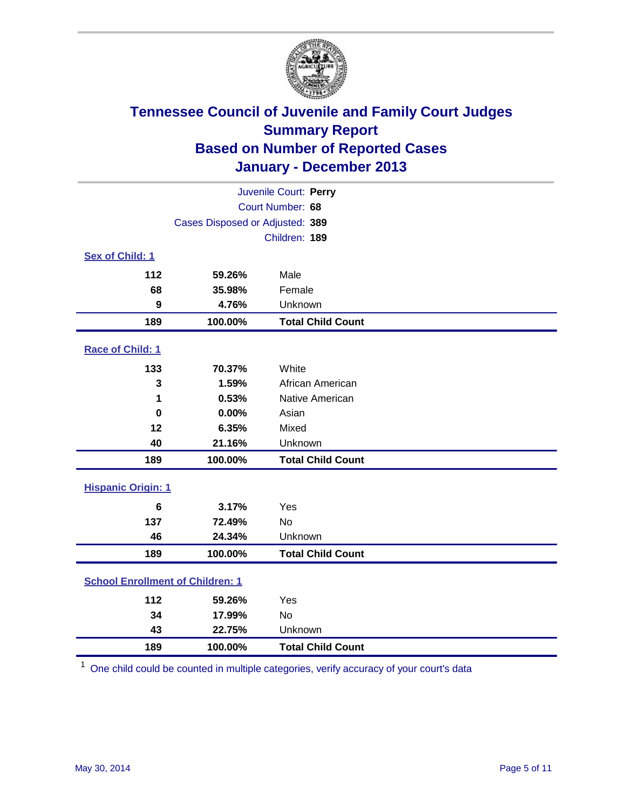

| Juvenile Court: Perry                   |                                 |                          |  |  |
|-----------------------------------------|---------------------------------|--------------------------|--|--|
| Court Number: 68                        |                                 |                          |  |  |
|                                         | Cases Disposed or Adjusted: 389 |                          |  |  |
|                                         |                                 | Children: 189            |  |  |
| Sex of Child: 1                         |                                 |                          |  |  |
| 112                                     | 59.26%                          | Male                     |  |  |
| 68                                      | 35.98%                          | Female                   |  |  |
| 9                                       | 4.76%                           | Unknown                  |  |  |
| 189                                     | 100.00%                         | <b>Total Child Count</b> |  |  |
| Race of Child: 1                        |                                 |                          |  |  |
| 133                                     | 70.37%                          | White                    |  |  |
| 3                                       | 1.59%                           | African American         |  |  |
| 1                                       | 0.53%                           | Native American          |  |  |
| $\bf{0}$                                | 0.00%                           | Asian                    |  |  |
| 12                                      | 6.35%                           | Mixed                    |  |  |
| 40                                      | 21.16%                          | Unknown                  |  |  |
| 189                                     | 100.00%                         | <b>Total Child Count</b> |  |  |
| <b>Hispanic Origin: 1</b>               |                                 |                          |  |  |
| $6\phantom{1}6$                         | 3.17%                           | Yes                      |  |  |
| 137                                     | 72.49%                          | <b>No</b>                |  |  |
| 46                                      | 24.34%                          | Unknown                  |  |  |
| 189                                     | 100.00%                         | <b>Total Child Count</b> |  |  |
| <b>School Enrollment of Children: 1</b> |                                 |                          |  |  |
| 112                                     | 59.26%                          | Yes                      |  |  |
| 34                                      | 17.99%                          | <b>No</b>                |  |  |
| 43                                      | 22.75%                          | Unknown                  |  |  |
| 189                                     | 100.00%                         | <b>Total Child Count</b> |  |  |

One child could be counted in multiple categories, verify accuracy of your court's data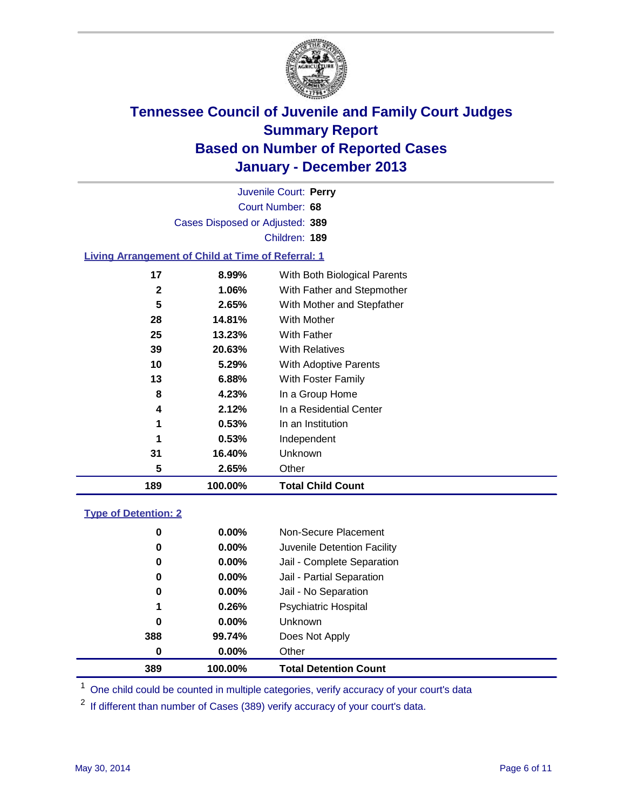

Court Number: **68** Juvenile Court: **Perry** Cases Disposed or Adjusted: **389** Children: **189**

### **Living Arrangement of Child at Time of Referral: 1**

| 189 | 100.00% | <b>Total Child Count</b>     |
|-----|---------|------------------------------|
| 5   | 2.65%   | Other                        |
| 31  | 16.40%  | <b>Unknown</b>               |
| 1   | 0.53%   | Independent                  |
| 1   | 0.53%   | In an Institution            |
| 4   | 2.12%   | In a Residential Center      |
| 8   | 4.23%   | In a Group Home              |
| 13  | 6.88%   | With Foster Family           |
| 10  | 5.29%   | With Adoptive Parents        |
| 39  | 20.63%  | <b>With Relatives</b>        |
| 25  | 13.23%  | <b>With Father</b>           |
| 28  | 14.81%  | With Mother                  |
| 5   | 2.65%   | With Mother and Stepfather   |
| 2   | 1.06%   | With Father and Stepmother   |
| 17  | 8.99%   | With Both Biological Parents |
|     |         |                              |

#### **Type of Detention: 2**

| 389 | 100.00%  | <b>Total Detention Count</b> |  |
|-----|----------|------------------------------|--|
| 0   | 0.00%    | Other                        |  |
| 388 | 99.74%   | Does Not Apply               |  |
| 0   | $0.00\%$ | <b>Unknown</b>               |  |
| 1   | 0.26%    | <b>Psychiatric Hospital</b>  |  |
| 0   | 0.00%    | Jail - No Separation         |  |
| 0   | 0.00%    | Jail - Partial Separation    |  |
| 0   | $0.00\%$ | Jail - Complete Separation   |  |
| 0   | 0.00%    | Juvenile Detention Facility  |  |
| 0   | 0.00%    | Non-Secure Placement         |  |
|     |          |                              |  |

<sup>1</sup> One child could be counted in multiple categories, verify accuracy of your court's data

If different than number of Cases (389) verify accuracy of your court's data.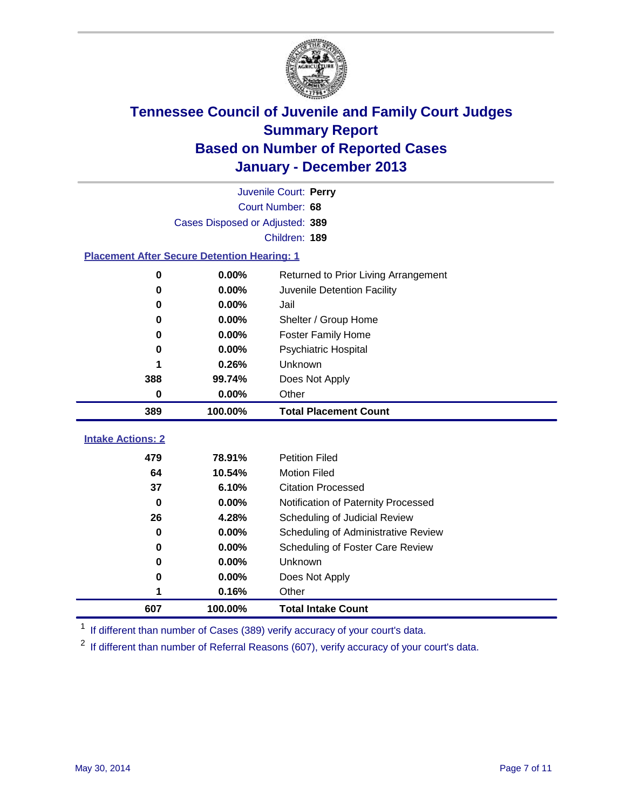

|                                                    |                                 | Juvenile Court: Perry                |
|----------------------------------------------------|---------------------------------|--------------------------------------|
|                                                    |                                 | Court Number: 68                     |
|                                                    | Cases Disposed or Adjusted: 389 |                                      |
|                                                    |                                 | Children: 189                        |
| <b>Placement After Secure Detention Hearing: 1</b> |                                 |                                      |
| 0                                                  | 0.00%                           | Returned to Prior Living Arrangement |
| 0                                                  | 0.00%                           | Juvenile Detention Facility          |
| 0                                                  | 0.00%                           | Jail                                 |
| 0                                                  | $0.00\%$                        | Shelter / Group Home                 |
| 0                                                  | 0.00%                           | <b>Foster Family Home</b>            |
| 0                                                  | 0.00%                           | <b>Psychiatric Hospital</b>          |
| 1                                                  | 0.26%                           | Unknown                              |
| 388                                                | 99.74%                          | Does Not Apply                       |
| $\mathbf 0$                                        | 0.00%                           | Other                                |
| 389                                                | 100.00%                         | <b>Total Placement Count</b>         |
|                                                    |                                 |                                      |
| <b>Intake Actions: 2</b>                           |                                 |                                      |
| 479                                                | 78.91%                          | <b>Petition Filed</b>                |
| 64                                                 | 10.54%                          | <b>Motion Filed</b>                  |
| 37                                                 | 6.10%                           | <b>Citation Processed</b>            |
| $\bf{0}$                                           | $0.00\%$                        | Notification of Paternity Processed  |
| 26                                                 | 4.28%                           | Scheduling of Judicial Review        |
| 0                                                  | 0.00%                           | Scheduling of Administrative Review  |
| 0                                                  | $0.00\%$                        | Scheduling of Foster Care Review     |
| 0                                                  | 0.00%                           | Unknown                              |
| 0                                                  | 0.00%                           | Does Not Apply                       |
| 1                                                  | 0.16%                           | Other                                |
| 607                                                | 100.00%                         | <b>Total Intake Count</b>            |

<sup>1</sup> If different than number of Cases (389) verify accuracy of your court's data.

<sup>2</sup> If different than number of Referral Reasons (607), verify accuracy of your court's data.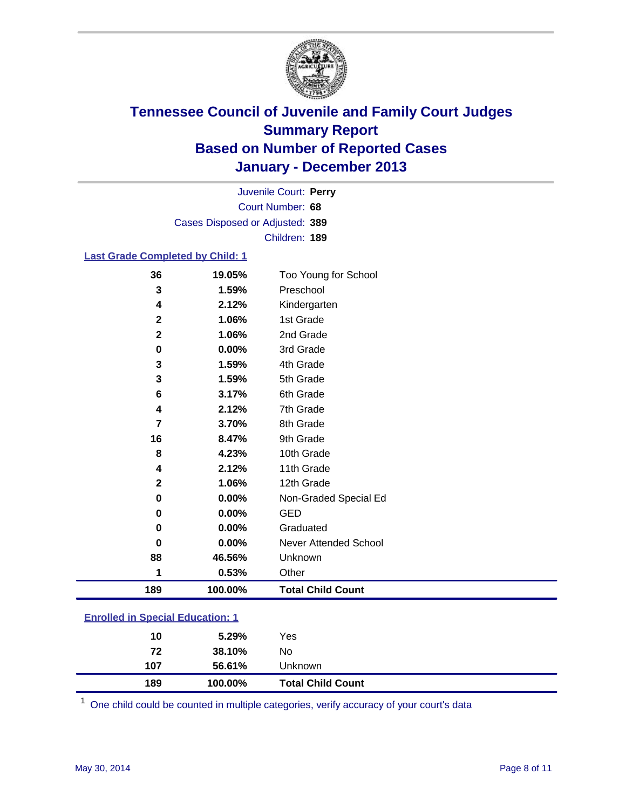

Court Number: **68** Juvenile Court: **Perry** Cases Disposed or Adjusted: **389** Children: **189**

### **Last Grade Completed by Child: 1**

| 36           | 19.05%  | Too Young for School     |
|--------------|---------|--------------------------|
| 3            | 1.59%   | Preschool                |
| 4            | 2.12%   | Kindergarten             |
| $\mathbf 2$  | 1.06%   | 1st Grade                |
| $\mathbf{2}$ | 1.06%   | 2nd Grade                |
| 0            | 0.00%   | 3rd Grade                |
| 3            | 1.59%   | 4th Grade                |
| 3            | 1.59%   | 5th Grade                |
| 6            | 3.17%   | 6th Grade                |
| 4            | 2.12%   | 7th Grade                |
| 7            | 3.70%   | 8th Grade                |
| 16           | 8.47%   | 9th Grade                |
| 8            | 4.23%   | 10th Grade               |
| 4            | 2.12%   | 11th Grade               |
| $\mathbf{2}$ | 1.06%   | 12th Grade               |
| 0            | 0.00%   | Non-Graded Special Ed    |
| 0            | 0.00%   | <b>GED</b>               |
| 0            | 0.00%   | Graduated                |
| 0            | 0.00%   | Never Attended School    |
| 88           | 46.56%  | Unknown                  |
| 1            | 0.53%   | Other                    |
| 189          | 100.00% | <b>Total Child Count</b> |

| <b>Enrolled in Special Education: 1</b> |  |
|-----------------------------------------|--|
|                                         |  |

| 189 | 100.00% | <b>Total Child Count</b> |  |
|-----|---------|--------------------------|--|
| 107 | 56.61%  | <b>Unknown</b>           |  |
| 72  | 38.10%  | No                       |  |
| 10  | 5.29%   | Yes                      |  |
|     |         |                          |  |

One child could be counted in multiple categories, verify accuracy of your court's data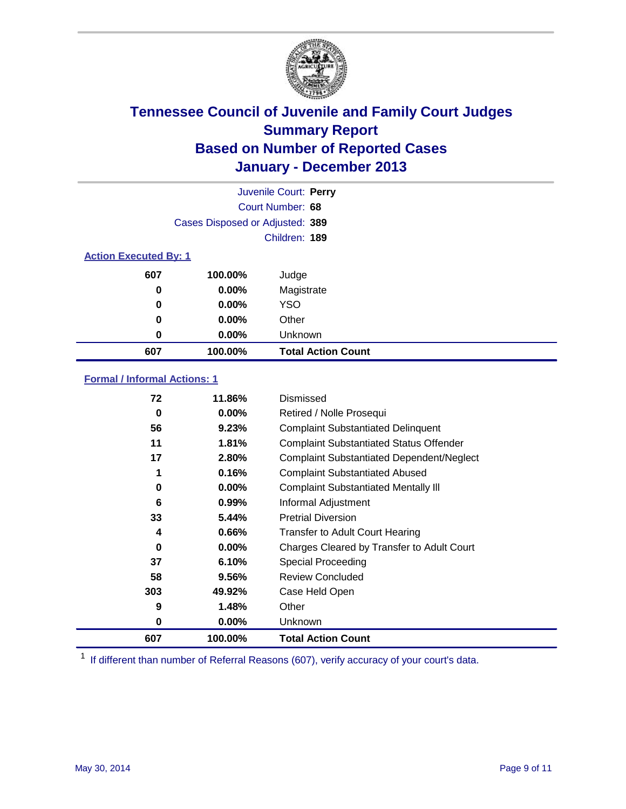

|                              |                                 | Juvenile Court: Perry     |
|------------------------------|---------------------------------|---------------------------|
|                              |                                 | Court Number: 68          |
|                              | Cases Disposed or Adjusted: 389 |                           |
|                              |                                 | Children: 189             |
| <b>Action Executed By: 1</b> |                                 |                           |
| 607                          | 100.00%                         | Judge                     |
| 0                            | $0.00\%$                        | Magistrate                |
| 0                            | $0.00\%$                        | <b>YSO</b>                |
| 0                            | $0.00\%$                        | Other                     |
| 0                            | $0.00\%$                        | Unknown                   |
| 607                          | 100.00%                         | <b>Total Action Count</b> |

### **Formal / Informal Actions: 1**

| 72  | 11.86%   | Dismissed                                        |
|-----|----------|--------------------------------------------------|
| 0   | $0.00\%$ | Retired / Nolle Prosequi                         |
| 56  | 9.23%    | <b>Complaint Substantiated Delinquent</b>        |
| 11  | 1.81%    | <b>Complaint Substantiated Status Offender</b>   |
| 17  | 2.80%    | <b>Complaint Substantiated Dependent/Neglect</b> |
| 1   | 0.16%    | <b>Complaint Substantiated Abused</b>            |
| 0   | $0.00\%$ | <b>Complaint Substantiated Mentally III</b>      |
| 6   | $0.99\%$ | Informal Adjustment                              |
| 33  | 5.44%    | <b>Pretrial Diversion</b>                        |
| 4   | 0.66%    | <b>Transfer to Adult Court Hearing</b>           |
| 0   | $0.00\%$ | Charges Cleared by Transfer to Adult Court       |
| 37  | 6.10%    | Special Proceeding                               |
| 58  | 9.56%    | <b>Review Concluded</b>                          |
| 303 | 49.92%   | Case Held Open                                   |
| 9   | 1.48%    | Other                                            |
| 0   | $0.00\%$ | Unknown                                          |
| 607 | 100.00%  | <b>Total Action Count</b>                        |

<sup>1</sup> If different than number of Referral Reasons (607), verify accuracy of your court's data.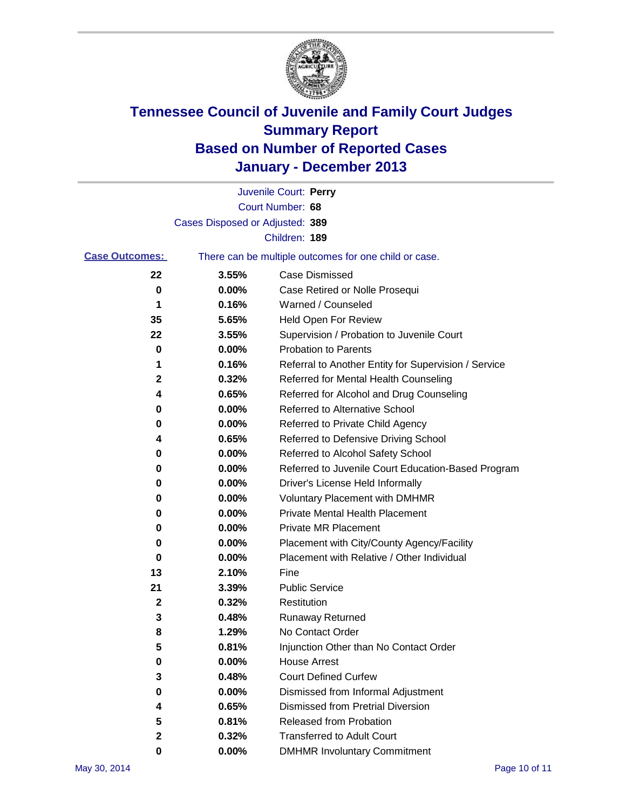

|                       |                                 | Juvenile Court: Perry                                 |
|-----------------------|---------------------------------|-------------------------------------------------------|
|                       |                                 | Court Number: 68                                      |
|                       | Cases Disposed or Adjusted: 389 |                                                       |
|                       |                                 | Children: 189                                         |
| <b>Case Outcomes:</b> |                                 | There can be multiple outcomes for one child or case. |
| 22                    | 3.55%                           | Case Dismissed                                        |
| 0                     | 0.00%                           | Case Retired or Nolle Prosequi                        |
| 1                     | 0.16%                           | Warned / Counseled                                    |
| 35                    | 5.65%                           | Held Open For Review                                  |
| 22                    | 3.55%                           | Supervision / Probation to Juvenile Court             |
| 0                     | 0.00%                           | <b>Probation to Parents</b>                           |
| 1                     | 0.16%                           | Referral to Another Entity for Supervision / Service  |
| 2                     | 0.32%                           | Referred for Mental Health Counseling                 |
| 4                     | 0.65%                           | Referred for Alcohol and Drug Counseling              |
| 0                     | 0.00%                           | <b>Referred to Alternative School</b>                 |
| 0                     | 0.00%                           | Referred to Private Child Agency                      |
| 4                     | 0.65%                           | Referred to Defensive Driving School                  |
| 0                     | 0.00%                           | Referred to Alcohol Safety School                     |
| 0                     | 0.00%                           | Referred to Juvenile Court Education-Based Program    |
| 0                     | 0.00%                           | Driver's License Held Informally                      |
| 0                     | 0.00%                           | <b>Voluntary Placement with DMHMR</b>                 |
| 0                     | 0.00%                           | <b>Private Mental Health Placement</b>                |
| 0                     | 0.00%                           | <b>Private MR Placement</b>                           |
| 0                     | 0.00%                           | Placement with City/County Agency/Facility            |
| 0                     | 0.00%                           | Placement with Relative / Other Individual            |
| 13                    | 2.10%                           | Fine                                                  |
| 21                    | 3.39%                           | <b>Public Service</b>                                 |
| 2                     | 0.32%                           | Restitution                                           |
| 3                     | 0.48%                           | <b>Runaway Returned</b>                               |
| 8                     | 1.29%                           | No Contact Order                                      |
| 5                     | 0.81%                           | Injunction Other than No Contact Order                |
| 0                     | 0.00%                           | <b>House Arrest</b>                                   |
| 3                     | 0.48%                           | <b>Court Defined Curfew</b>                           |
| 0                     | 0.00%                           | Dismissed from Informal Adjustment                    |
| 4                     | 0.65%                           | <b>Dismissed from Pretrial Diversion</b>              |
| 5                     | 0.81%                           | Released from Probation                               |
| 2                     | 0.32%                           | <b>Transferred to Adult Court</b>                     |
| 0                     | $0.00\%$                        | <b>DMHMR Involuntary Commitment</b>                   |